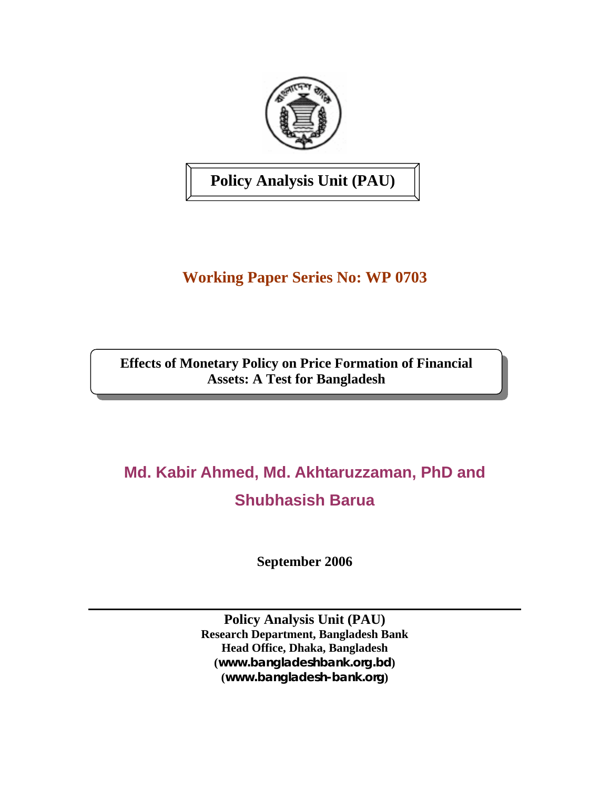

**Policy Analysis Unit (PAU)** 

# **Working Paper Series No: WP 0703**

**Effects of Monetary Policy on Price Formation of Financial Assets: A Test for Bangladesh** 

# **Md. Kabir Ahmed, Md. Akhtaruzzaman, PhD and Shubhasish Barua**

**September 2006** 

**Policy Analysis Unit (PAU) Research Department, Bangladesh Bank Head Office, Dhaka, Bangladesh (***[www.bangladeshbank.org.bd](http://www.bangladeshbank.org.bd/)***) (***[www.bangladesh-bank.org](http://www.bangladesh-bank.org/)***)**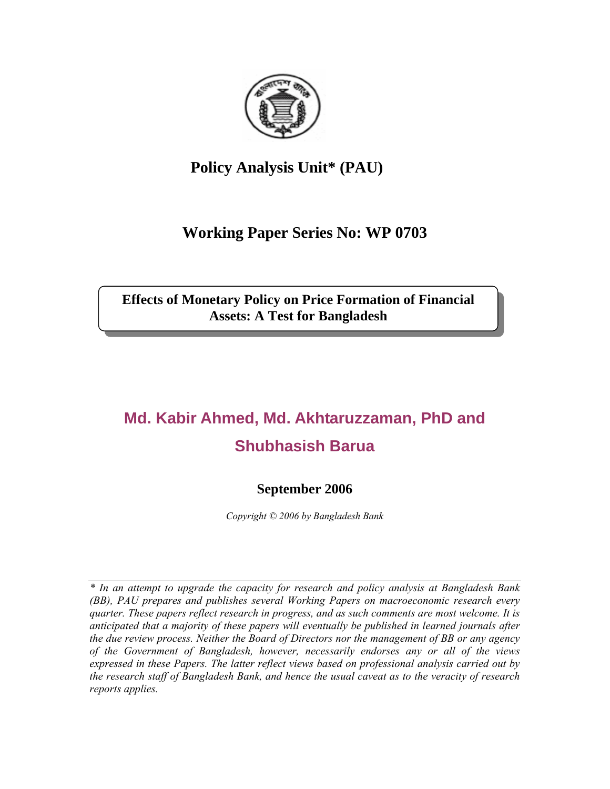

# **Policy Analysis Unit\* (PAU)**

# **Working Paper Series No: WP 0703**

**Effects of Monetary Policy on Price Formation of Financial Assets: A Test for Bangladesh** 

# **Md. Kabir Ahmed, Md. Akhtaruzzaman, PhD and Shubhasish Barua**

# **September 2006**

*Copyright © 2006 by Bangladesh Bank* 

*\* In an attempt to upgrade the capacity for research and policy analysis at Bangladesh Bank (BB), PAU prepares and publishes several Working Papers on macroeconomic research every quarter. These papers reflect research in progress, and as such comments are most welcome. It is anticipated that a majority of these papers will eventually be published in learned journals after the due review process. Neither the Board of Directors nor the management of BB or any agency of the Government of Bangladesh, however, necessarily endorses any or all of the views expressed in these Papers. The latter reflect views based on professional analysis carried out by the research staff of Bangladesh Bank, and hence the usual caveat as to the veracity of research reports applies.*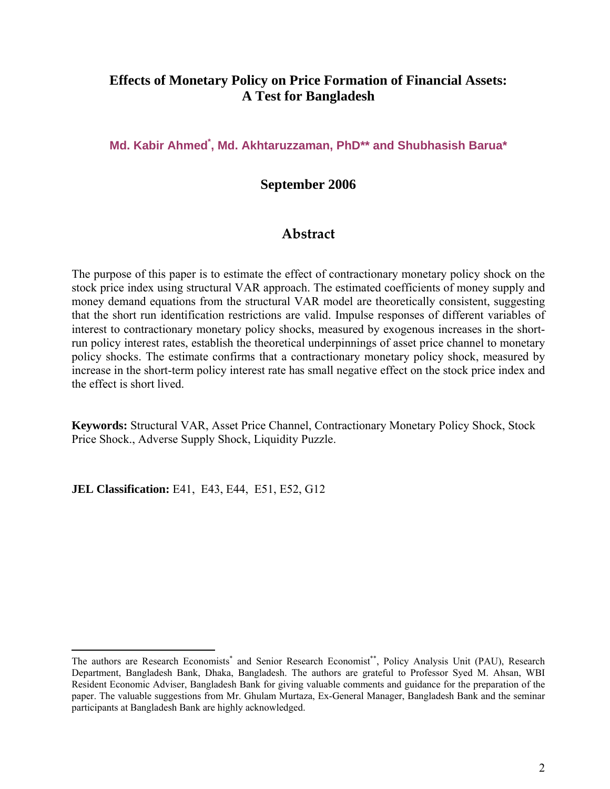# **Effects of Monetary Policy on Price Formation of Financial Assets: A Test for Bangladesh**

**Md. Kabir Ahmed[\\*](#page-2-0) , Md. Akhtaruzzaman, PhD\*\* and Shubhasish Barua\*** 

## **September 2006**

# **Abstract**

The purpose of this paper is to estimate the effect of contractionary monetary policy shock on the stock price index using structural VAR approach. The estimated coefficients of money supply and money demand equations from the structural VAR model are theoretically consistent, suggesting that the short run identification restrictions are valid. Impulse responses of different variables of interest to contractionary monetary policy shocks, measured by exogenous increases in the shortrun policy interest rates, establish the theoretical underpinnings of asset price channel to monetary policy shocks. The estimate confirms that a contractionary monetary policy shock, measured by increase in the short-term policy interest rate has small negative effect on the stock price index and the effect is short lived.

**Keywords:** Structural VAR, Asset Price Channel, Contractionary Monetary Policy Shock, Stock Price Shock., Adverse Supply Shock, Liquidity Puzzle.

**JEL Classification:** E41, E43, E44, E51, E52, G12

 $\overline{a}$ 

<span id="page-2-0"></span>The authors are Research Economists<sup>\*</sup> and Senior Research Economist<sup>\*\*</sup>, Policy Analysis Unit (PAU), Research Department, Bangladesh Bank, Dhaka, Bangladesh. The authors are grateful to Professor Syed M. Ahsan, WBI Resident Economic Adviser, Bangladesh Bank for giving valuable comments and guidance for the preparation of the paper. The valuable suggestions from Mr. Ghulam Murtaza, Ex-General Manager, Bangladesh Bank and the seminar participants at Bangladesh Bank are highly acknowledged.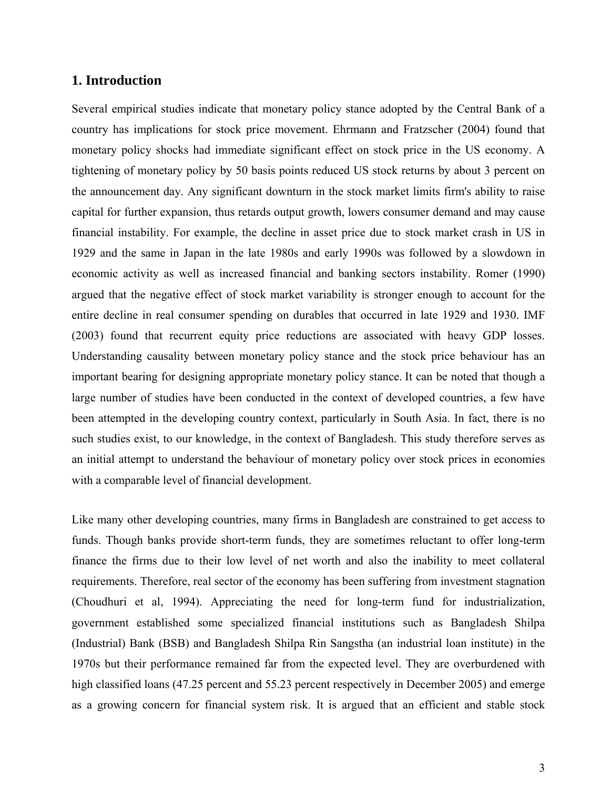#### **1. Introduction**

Several empirical studies indicate that monetary policy stance adopted by the Central Bank of a country has implications for stock price movement. Ehrmann and Fratzscher (2004) found that monetary policy shocks had immediate significant effect on stock price in the US economy. A tightening of monetary policy by 50 basis points reduced US stock returns by about 3 percent on the announcement day. Any significant downturn in the stock market limits firm's ability to raise capital for further expansion, thus retards output growth, lowers consumer demand and may cause financial instability. For example, the decline in asset price due to stock market crash in US in 1929 and the same in Japan in the late 1980s and early 1990s was followed by a slowdown in economic activity as well as increased financial and banking sectors instability. Romer (1990) argued that the negative effect of stock market variability is stronger enough to account for the entire decline in real consumer spending on durables that occurred in late 1929 and 1930. IMF (2003) found that recurrent equity price reductions are associated with heavy GDP losses. Understanding causality between monetary policy stance and the stock price behaviour has an important bearing for designing appropriate monetary policy stance. It can be noted that though a large number of studies have been conducted in the context of developed countries, a few have been attempted in the developing country context, particularly in South Asia. In fact, there is no such studies exist, to our knowledge, in the context of Bangladesh. This study therefore serves as an initial attempt to understand the behaviour of monetary policy over stock prices in economies with a comparable level of financial development.

Like many other developing countries, many firms in Bangladesh are constrained to get access to funds. Though banks provide short-term funds, they are sometimes reluctant to offer long-term finance the firms due to their low level of net worth and also the inability to meet collateral requirements. Therefore, real sector of the economy has been suffering from investment stagnation (Choudhuri et al, 1994). Appreciating the need for long-term fund for industrialization, government established some specialized financial institutions such as Bangladesh Shilpa (Industrial) Bank (BSB) and Bangladesh Shilpa Rin Sangstha (an industrial loan institute) in the 1970s but their performance remained far from the expected level. They are overburdened with high classified loans (47.25 percent and 55.23 percent respectively in December 2005) and emerge as a growing concern for financial system risk. It is argued that an efficient and stable stock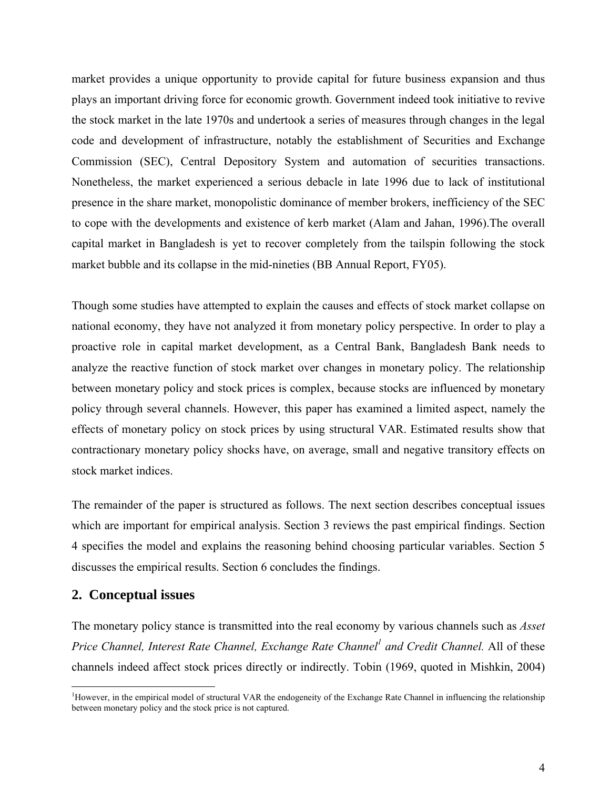market provides a unique opportunity to provide capital for future business expansion and thus plays an important driving force for economic growth. Government indeed took initiative to revive the stock market in the late 1970s and undertook a series of measures through changes in the legal code and development of infrastructure, notably the establishment of Securities and Exchange Commission (SEC), Central Depository System and automation of securities transactions. Nonetheless, the market experienced a serious debacle in late 1996 due to lack of institutional presence in the share market, monopolistic dominance of member brokers, inefficiency of the SEC to cope with the developments and existence of kerb market (Alam and Jahan, 1996).The overall capital market in Bangladesh is yet to recover completely from the tailspin following the stock market bubble and its collapse in the mid-nineties (BB Annual Report, FY05).

Though some studies have attempted to explain the causes and effects of stock market collapse on national economy, they have not analyzed it from monetary policy perspective. In order to play a proactive role in capital market development, as a Central Bank, Bangladesh Bank needs to analyze the reactive function of stock market over changes in monetary policy. The relationship between monetary policy and stock prices is complex, because stocks are influenced by monetary policy through several channels. However, this paper has examined a limited aspect, namely the effects of monetary policy on stock prices by using structural VAR. Estimated results show that contractionary monetary policy shocks have, on average, small and negative transitory effects on stock market indices.

The remainder of the paper is structured as follows. The next section describes conceptual issues which are important for empirical analysis. Section 3 reviews the past empirical findings. Section 4 specifies the model and explains the reasoning behind choosing particular variables. Section 5 discusses the empirical results. Section 6 concludes the findings.

#### **2. Conceptual issues**

 $\overline{a}$ 

The monetary policy stance is transmitted into the real economy by various channels such as *Asset*  Price Channel, Interest Rate Channel, Exchange Rate Channel<sup>1</sup> and Credit Channel. All of these channels indeed affect stock prices directly or indirectly. Tobin (1969, quoted in Mishkin, 2004)

<span id="page-4-0"></span><sup>&</sup>lt;sup>1</sup>However, in the empirical model of structural VAR the endogeneity of the Exchange Rate Channel in influencing the relationship between monetary policy and the stock price is not captured.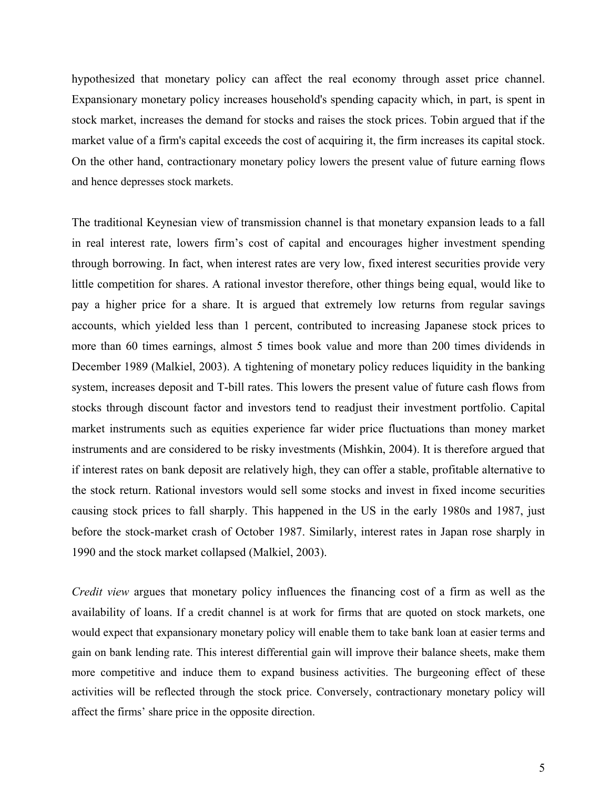hypothesized that monetary policy can affect the real economy through asset price channel. Expansionary monetary policy increases household's spending capacity which, in part, is spent in stock market, increases the demand for stocks and raises the stock prices. Tobin argued that if the market value of a firm's capital exceeds the cost of acquiring it, the firm increases its capital stock. On the other hand, contractionary monetary policy lowers the present value of future earning flows and hence depresses stock markets.

The traditional Keynesian view of transmission channel is that monetary expansion leads to a fall in real interest rate, lowers firm's cost of capital and encourages higher investment spending through borrowing. In fact, when interest rates are very low, fixed interest securities provide very little competition for shares. A rational investor therefore, other things being equal, would like to pay a higher price for a share. It is argued that extremely low returns from regular savings accounts, which yielded less than 1 percent, contributed to increasing Japanese stock prices to more than 60 times earnings, almost 5 times book value and more than 200 times dividends in December 1989 (Malkiel, 2003). A tightening of monetary policy reduces liquidity in the banking system, increases deposit and T-bill rates. This lowers the present value of future cash flows from stocks through discount factor and investors tend to readjust their investment portfolio. Capital market instruments such as equities experience far wider price fluctuations than money market instruments and are considered to be risky investments (Mishkin, 2004). It is therefore argued that if interest rates on bank deposit are relatively high, they can offer a stable, profitable alternative to the stock return. Rational investors would sell some stocks and invest in fixed income securities causing stock prices to fall sharply. This happened in the US in the early 1980s and 1987, just before the stock-market crash of October 1987. Similarly, interest rates in Japan rose sharply in 1990 and the stock market collapsed (Malkiel, 2003).

*Credit view* argues that monetary policy influences the financing cost of a firm as well as the availability of loans. If a credit channel is at work for firms that are quoted on stock markets, one would expect that expansionary monetary policy will enable them to take bank loan at easier terms and gain on bank lending rate. This interest differential gain will improve their balance sheets, make them more competitive and induce them to expand business activities. The burgeoning effect of these activities will be reflected through the stock price. Conversely, contractionary monetary policy will affect the firms' share price in the opposite direction.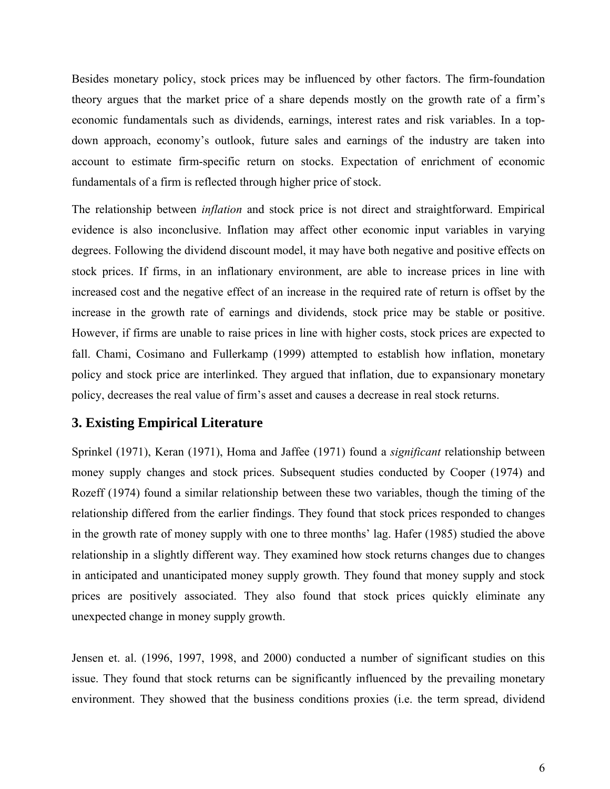Besides monetary policy, stock prices may be influenced by other factors. The firm-foundation theory argues that the market price of a share depends mostly on the growth rate of a firm's economic fundamentals such as dividends, earnings, interest rates and risk variables. In a topdown approach, economy's outlook, future sales and earnings of the industry are taken into account to estimate firm-specific return on stocks. Expectation of enrichment of economic fundamentals of a firm is reflected through higher price of stock.

The relationship between *inflation* and stock price is not direct and straightforward. Empirical evidence is also inconclusive. Inflation may affect other economic input variables in varying degrees. Following the dividend discount model, it may have both negative and positive effects on stock prices. If firms, in an inflationary environment, are able to increase prices in line with increased cost and the negative effect of an increase in the required rate of return is offset by the increase in the growth rate of earnings and dividends, stock price may be stable or positive. However, if firms are unable to raise prices in line with higher costs, stock prices are expected to fall. Chami, Cosimano and Fullerkamp (1999) attempted to establish how inflation, monetary policy and stock price are interlinked. They argued that inflation, due to expansionary monetary policy, decreases the real value of firm's asset and causes a decrease in real stock returns.

## **3. Existing Empirical Literature**

Sprinkel (1971), Keran (1971), Homa and Jaffee (1971) found a *significant* relationship between money supply changes and stock prices. Subsequent studies conducted by Cooper (1974) and Rozeff (1974) found a similar relationship between these two variables, though the timing of the relationship differed from the earlier findings. They found that stock prices responded to changes in the growth rate of money supply with one to three months' lag. Hafer (1985) studied the above relationship in a slightly different way. They examined how stock returns changes due to changes in anticipated and unanticipated money supply growth. They found that money supply and stock prices are positively associated. They also found that stock prices quickly eliminate any unexpected change in money supply growth.

Jensen et. al. (1996, 1997, 1998, and 2000) conducted a number of significant studies on this issue. They found that stock returns can be significantly influenced by the prevailing monetary environment. They showed that the business conditions proxies (i.e. the term spread, dividend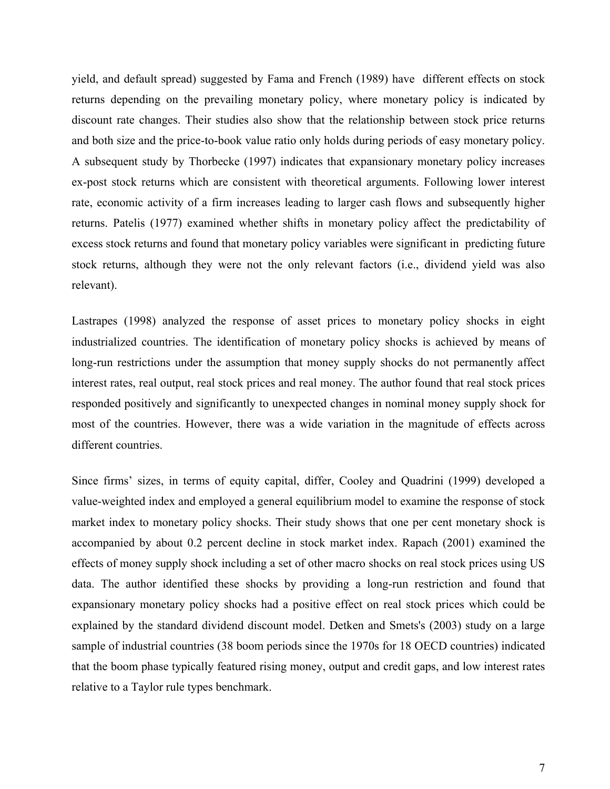yield, and default spread) suggested by Fama and French (1989) have different effects on stock returns depending on the prevailing monetary policy, where monetary policy is indicated by discount rate changes. Their studies also show that the relationship between stock price returns and both size and the price-to-book value ratio only holds during periods of easy monetary policy. A subsequent study by Thorbecke (1997) indicates that expansionary monetary policy increases ex-post stock returns which are consistent with theoretical arguments. Following lower interest rate, economic activity of a firm increases leading to larger cash flows and subsequently higher returns. Patelis (1977) examined whether shifts in monetary policy affect the predictability of excess stock returns and found that monetary policy variables were significant in predicting future stock returns, although they were not the only relevant factors (i.e., dividend yield was also relevant).

Lastrapes (1998) analyzed the response of asset prices to monetary policy shocks in eight industrialized countries. The identification of monetary policy shocks is achieved by means of long-run restrictions under the assumption that money supply shocks do not permanently affect interest rates, real output, real stock prices and real money. The author found that real stock prices responded positively and significantly to unexpected changes in nominal money supply shock for most of the countries. However, there was a wide variation in the magnitude of effects across different countries.

Since firms' sizes, in terms of equity capital, differ, Cooley and Quadrini (1999) developed a value-weighted index and employed a general equilibrium model to examine the response of stock market index to monetary policy shocks. Their study shows that one per cent monetary shock is accompanied by about 0.2 percent decline in stock market index. Rapach (2001) examined the effects of money supply shock including a set of other macro shocks on real stock prices using US data. The author identified these shocks by providing a long-run restriction and found that expansionary monetary policy shocks had a positive effect on real stock prices which could be explained by the standard dividend discount model. Detken and Smets's (2003) study on a large sample of industrial countries (38 boom periods since the 1970s for 18 OECD countries) indicated that the boom phase typically featured rising money, output and credit gaps, and low interest rates relative to a Taylor rule types benchmark.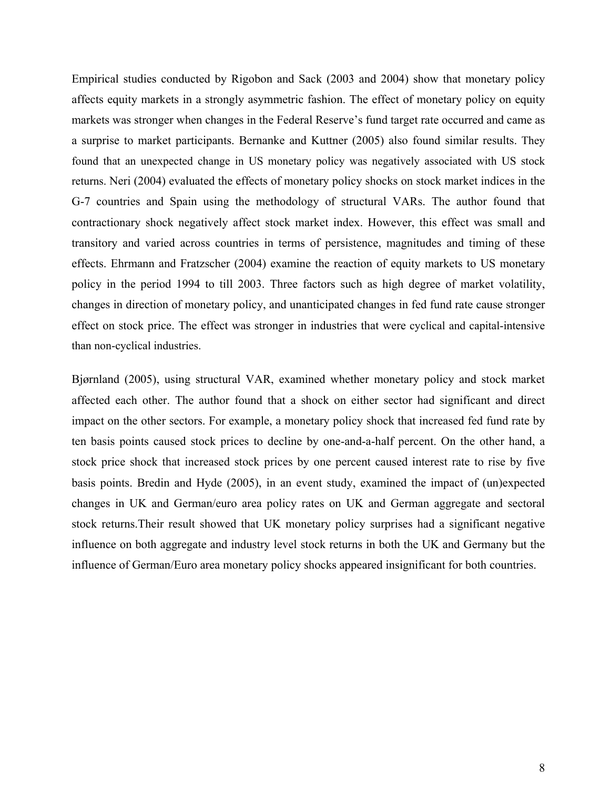Empirical studies conducted by Rigobon and Sack (2003 and 2004) show that monetary policy affects equity markets in a strongly asymmetric fashion. The effect of monetary policy on equity markets was stronger when changes in the Federal Reserve's fund target rate occurred and came as a surprise to market participants. Bernanke and Kuttner (2005) also found similar results. They found that an unexpected change in US monetary policy was negatively associated with US stock returns. Neri (2004) evaluated the effects of monetary policy shocks on stock market indices in the G-7 countries and Spain using the methodology of structural VARs. The author found that contractionary shock negatively affect stock market index. However, this effect was small and transitory and varied across countries in terms of persistence, magnitudes and timing of these effects. Ehrmann and Fratzscher (2004) examine the reaction of equity markets to US monetary policy in the period 1994 to till 2003. Three factors such as high degree of market volatility, changes in direction of monetary policy, and unanticipated changes in fed fund rate cause stronger effect on stock price. The effect was stronger in industries that were cyclical and capital-intensive than non-cyclical industries.

Bjørnland (2005), using structural VAR, examined whether monetary policy and stock market affected each other. The author found that a shock on either sector had significant and direct impact on the other sectors. For example, a monetary policy shock that increased fed fund rate by ten basis points caused stock prices to decline by one-and-a-half percent. On the other hand, a stock price shock that increased stock prices by one percent caused interest rate to rise by five basis points. Bredin and Hyde (2005), in an event study, examined the impact of (un)expected changes in UK and German/euro area policy rates on UK and German aggregate and sectoral stock returns.Their result showed that UK monetary policy surprises had a significant negative influence on both aggregate and industry level stock returns in both the UK and Germany but the influence of German/Euro area monetary policy shocks appeared insignificant for both countries.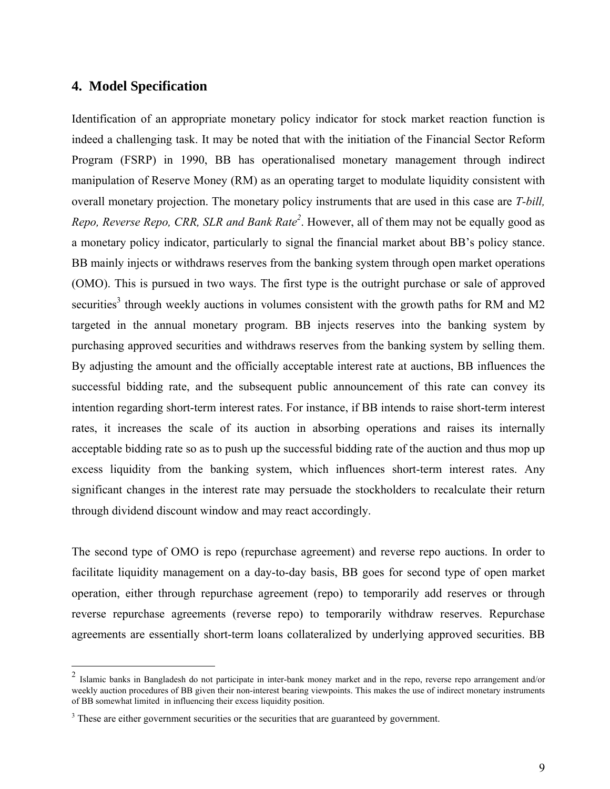#### **4. Model Specification**

 $\overline{a}$ 

Identification of an appropriate monetary policy indicator for stock market reaction function is indeed a challenging task. It may be noted that with the initiation of the Financial Sector Reform Program (FSRP) in 1990, BB has operationalised monetary management through indirect manipulation of Reserve Money (RM) as an operating target to modulate liquidity consistent with overall monetary projection. The monetary policy instruments that are used in this case are *T-bill,*  Repo, Reverse Repo, CRR, SLR and Bank Rate<sup>2</sup>. However, all of them may not be equally good as a monetary policy indicator, particularly to signal the financial market about BB's policy stance. BB mainly injects or withdraws reserves from the banking system through open market operations (OMO). This is pursued in two ways. The first type is the outright purchase or sale of approved securities<sup>[3](#page-9-1)</sup> through weekly auctions in volumes consistent with the growth paths for RM and M2 targeted in the annual monetary program. BB injects reserves into the banking system by purchasing approved securities and withdraws reserves from the banking system by selling them. By adjusting the amount and the officially acceptable interest rate at auctions, BB influences the successful bidding rate, and the subsequent public announcement of this rate can convey its intention regarding short-term interest rates. For instance, if BB intends to raise short-term interest rates, it increases the scale of its auction in absorbing operations and raises its internally acceptable bidding rate so as to push up the successful bidding rate of the auction and thus mop up excess liquidity from the banking system, which influences short-term interest rates. Any significant changes in the interest rate may persuade the stockholders to recalculate their return through dividend discount window and may react accordingly.

The second type of OMO is repo (repurchase agreement) and reverse repo auctions. In order to facilitate liquidity management on a day-to-day basis, BB goes for second type of open market operation, either through repurchase agreement (repo) to temporarily add reserves or through reverse repurchase agreements (reverse repo) to temporarily withdraw reserves. Repurchase agreements are essentially short-term loans collateralized by underlying approved securities. BB

<span id="page-9-0"></span><sup>&</sup>lt;sup>2</sup> Islamic banks in Bangladesh do not participate in inter-bank money market and in the repo, reverse repo arrangement and/or weekly auction procedures of BB given their non-interest bearing viewpoints. This makes the use of indirect monetary instruments of BB somewhat limited in influencing their excess liquidity position.

<span id="page-9-1"></span> $3$  These are either government securities or the securities that are guaranteed by government.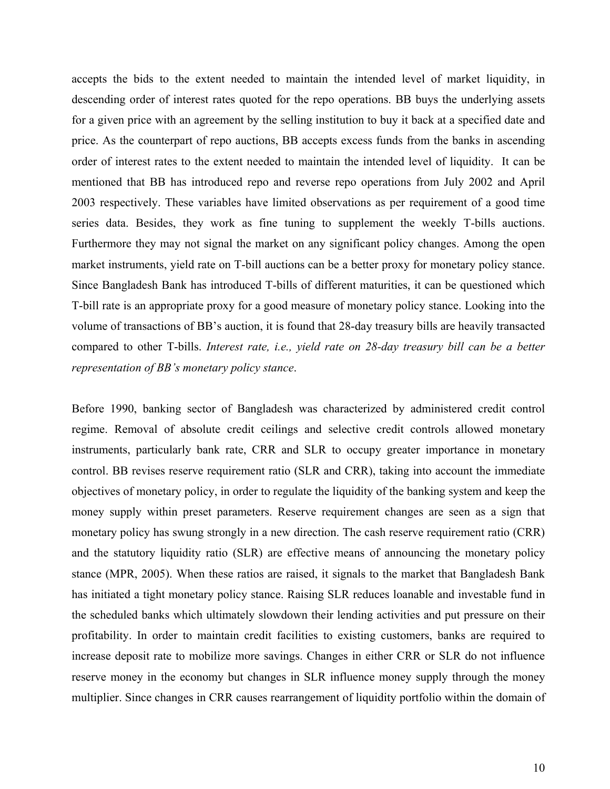accepts the bids to the extent needed to maintain the intended level of market liquidity, in descending order of interest rates quoted for the repo operations. BB buys the underlying assets for a given price with an agreement by the selling institution to buy it back at a specified date and price. As the counterpart of repo auctions, BB accepts excess funds from the banks in ascending order of interest rates to the extent needed to maintain the intended level of liquidity. It can be mentioned that BB has introduced repo and reverse repo operations from July 2002 and April 2003 respectively. These variables have limited observations as per requirement of a good time series data. Besides, they work as fine tuning to supplement the weekly T-bills auctions. Furthermore they may not signal the market on any significant policy changes. Among the open market instruments, yield rate on T-bill auctions can be a better proxy for monetary policy stance. Since Bangladesh Bank has introduced T-bills of different maturities, it can be questioned which T-bill rate is an appropriate proxy for a good measure of monetary policy stance. Looking into the volume of transactions of BB's auction, it is found that 28-day treasury bills are heavily transacted compared to other T-bills. *Interest rate, i.e., yield rate on 28-day treasury bill can be a better representation of BB's monetary policy stance*.

Before 1990, banking sector of Bangladesh was characterized by administered credit control regime. Removal of absolute credit ceilings and selective credit controls allowed monetary instruments, particularly bank rate, CRR and SLR to occupy greater importance in monetary control. BB revises reserve requirement ratio (SLR and CRR), taking into account the immediate objectives of monetary policy, in order to regulate the liquidity of the banking system and keep the money supply within preset parameters. Reserve requirement changes are seen as a sign that monetary policy has swung strongly in a new direction. The cash reserve requirement ratio (CRR) and the statutory liquidity ratio (SLR) are effective means of announcing the monetary policy stance (MPR, 2005). When these ratios are raised, it signals to the market that Bangladesh Bank has initiated a tight monetary policy stance. Raising SLR reduces loanable and investable fund in the scheduled banks which ultimately slowdown their lending activities and put pressure on their profitability. In order to maintain credit facilities to existing customers, banks are required to increase deposit rate to mobilize more savings. Changes in either CRR or SLR do not influence reserve money in the economy but changes in SLR influence money supply through the money multiplier. Since changes in CRR causes rearrangement of liquidity portfolio within the domain of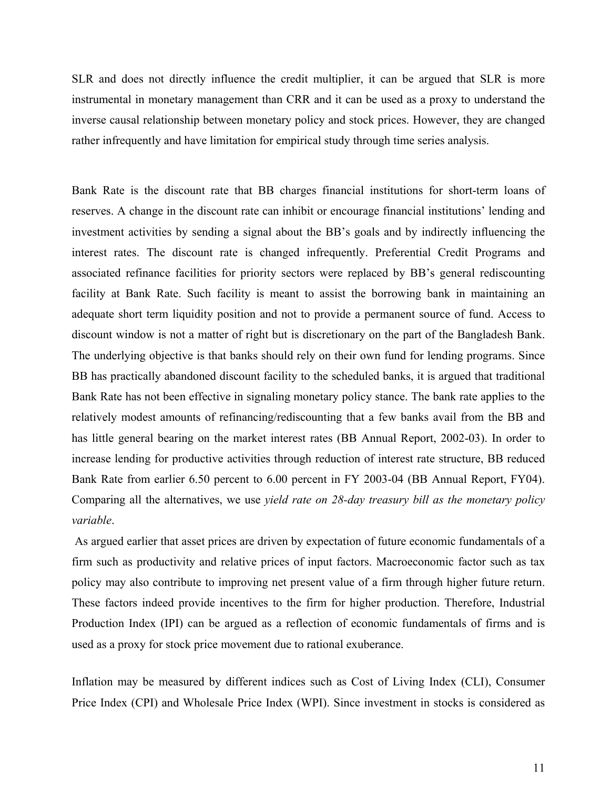SLR and does not directly influence the credit multiplier, it can be argued that SLR is more instrumental in monetary management than CRR and it can be used as a proxy to understand the inverse causal relationship between monetary policy and stock prices. However, they are changed rather infrequently and have limitation for empirical study through time series analysis.

Bank Rate is the discount rate that BB charges financial institutions for short-term loans of reserves. A change in the discount rate can inhibit or encourage financial institutions' lending and investment activities by sending a signal about the BB's goals and by indirectly influencing the interest rates. The discount rate is changed infrequently. Preferential Credit Programs and associated refinance facilities for priority sectors were replaced by BB's general rediscounting facility at Bank Rate. Such facility is meant to assist the borrowing bank in maintaining an adequate short term liquidity position and not to provide a permanent source of fund. Access to discount window is not a matter of right but is discretionary on the part of the Bangladesh Bank. The underlying objective is that banks should rely on their own fund for lending programs. Since BB has practically abandoned discount facility to the scheduled banks, it is argued that traditional Bank Rate has not been effective in signaling monetary policy stance. The bank rate applies to the relatively modest amounts of refinancing/rediscounting that a few banks avail from the BB and has little general bearing on the market interest rates (BB Annual Report, 2002-03). In order to increase lending for productive activities through reduction of interest rate structure, BB reduced Bank Rate from earlier 6.50 percent to 6.00 percent in FY 2003-04 (BB Annual Report, FY04). Comparing all the alternatives, we use *yield rate on 28-day treasury bill as the monetary policy variable*.

As argued earlier that asset prices are driven by expectation of future economic fundamentals of a firm such as productivity and relative prices of input factors. Macroeconomic factor such as tax policy may also contribute to improving net present value of a firm through higher future return. These factors indeed provide incentives to the firm for higher production. Therefore, Industrial Production Index (IPI) can be argued as a reflection of economic fundamentals of firms and is used as a proxy for stock price movement due to rational exuberance.

Inflation may be measured by different indices such as Cost of Living Index (CLI), Consumer Price Index (CPI) and Wholesale Price Index (WPI). Since investment in stocks is considered as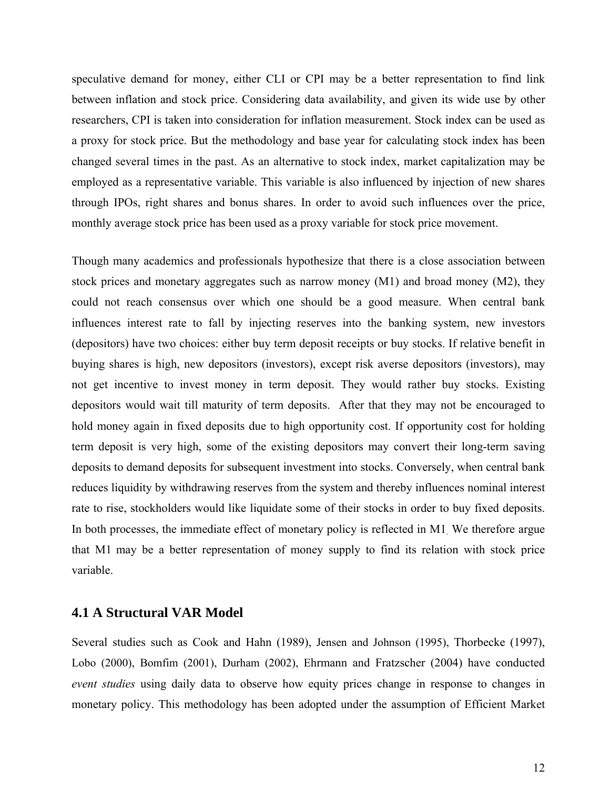speculative demand for money, either CLI or CPI may be a better representation to find link between inflation and stock price. Considering data availability, and given its wide use by other researchers, CPI is taken into consideration for inflation measurement. Stock index can be used as a proxy for stock price. But the methodology and base year for calculating stock index has been changed several times in the past. As an alternative to stock index, market capitalization may be employed as a representative variable. This variable is also influenced by injection of new shares through IPOs, right shares and bonus shares. In order to avoid such influences over the price, monthly average stock price has been used as a proxy variable for stock price movement.

Though many academics and professionals hypothesize that there is a close association between stock prices and monetary aggregates such as narrow money (M1) and broad money (M2), they could not reach consensus over which one should be a good measure. When central bank influences interest rate to fall by injecting reserves into the banking system, new investors (depositors) have two choices: either buy term deposit receipts or buy stocks. If relative benefit in buying shares is high, new depositors (investors), except risk averse depositors (investors), may not get incentive to invest money in term deposit. They would rather buy stocks. Existing depositors would wait till maturity of term deposits. After that they may not be encouraged to hold money again in fixed deposits due to high opportunity cost. If opportunity cost for holding term deposit is very high, some of the existing depositors may convert their long-term saving deposits to demand deposits for subsequent investment into stocks. Conversely, when central bank reduces liquidity by withdrawing reserves from the system and thereby influences nominal interest rate to rise, stockholders would like liquidate some of their stocks in order to buy fixed deposits. In both processes, the immediate effect of monetary policy is reflected in M1. We therefore argue that M1 may be a better representation of money supply to find its relation with stock price variable.

#### **4.1 A Structural VAR Model**

Several studies such as Cook and Hahn (1989), Jensen and Johnson (1995), Thorbecke (1997), Lobo (2000), Bomfim (2001), Durham (2002), Ehrmann and Fratzscher (2004) have conducted *event studies* using daily data to observe how equity prices change in response to changes in monetary policy. This methodology has been adopted under the assumption of Efficient Market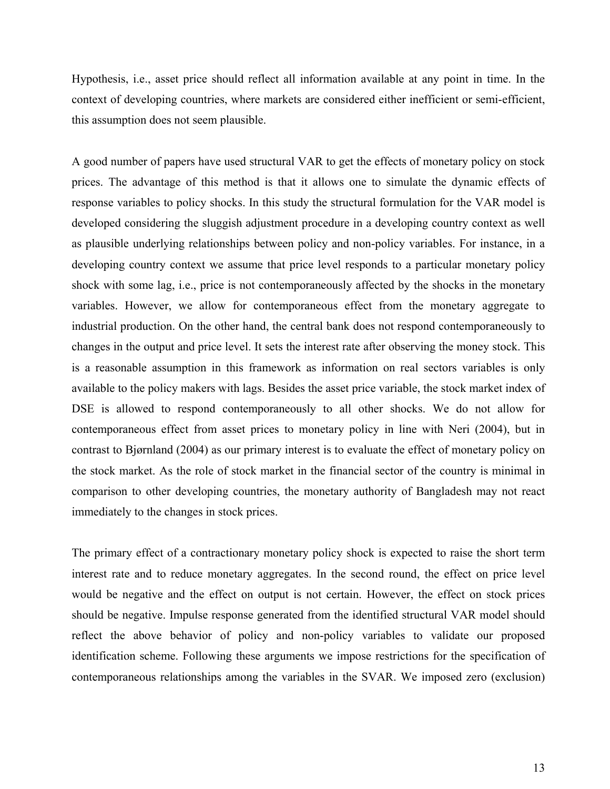Hypothesis, i.e., asset price should reflect all information available at any point in time. In the context of developing countries, where markets are considered either inefficient or semi-efficient, this assumption does not seem plausible.

A good number of papers have used structural VAR to get the effects of monetary policy on stock prices. The advantage of this method is that it allows one to simulate the dynamic effects of response variables to policy shocks. In this study the structural formulation for the VAR model is developed considering the sluggish adjustment procedure in a developing country context as well as plausible underlying relationships between policy and non-policy variables. For instance, in a developing country context we assume that price level responds to a particular monetary policy shock with some lag, i.e., price is not contemporaneously affected by the shocks in the monetary variables. However, we allow for contemporaneous effect from the monetary aggregate to industrial production. On the other hand, the central bank does not respond contemporaneously to changes in the output and price level. It sets the interest rate after observing the money stock. This is a reasonable assumption in this framework as information on real sectors variables is only available to the policy makers with lags. Besides the asset price variable, the stock market index of DSE is allowed to respond contemporaneously to all other shocks. We do not allow for contemporaneous effect from asset prices to monetary policy in line with Neri (2004), but in contrast to Bjørnland (2004) as our primary interest is to evaluate the effect of monetary policy on the stock market. As the role of stock market in the financial sector of the country is minimal in comparison to other developing countries, the monetary authority of Bangladesh may not react immediately to the changes in stock prices.

The primary effect of a contractionary monetary policy shock is expected to raise the short term interest rate and to reduce monetary aggregates. In the second round, the effect on price level would be negative and the effect on output is not certain. However, the effect on stock prices should be negative. Impulse response generated from the identified structural VAR model should reflect the above behavior of policy and non-policy variables to validate our proposed identification scheme. Following these arguments we impose restrictions for the specification of contemporaneous relationships among the variables in the SVAR. We imposed zero (exclusion)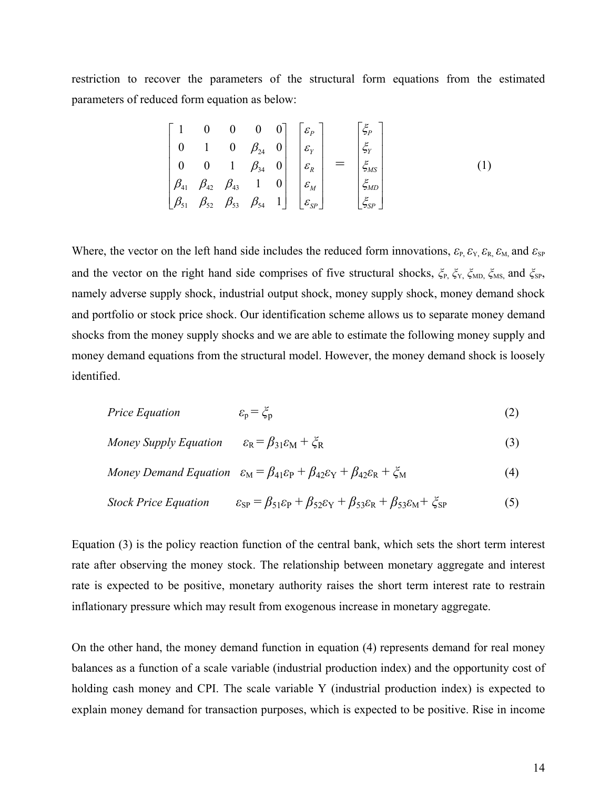restriction to recover the parameters of the structural form equations from the estimated parameters of reduced form equation as below:

$$
\begin{bmatrix} 1 & 0 & 0 & 0 & 0 \ 0 & 1 & 0 & \beta_{24} & 0 \ 0 & 0 & 1 & \beta_{34} & 0 \ \beta_{41} & \beta_{42} & \beta_{43} & 1 & 0 \ \beta_{51} & \beta_{52} & \beta_{53} & \beta_{54} & 1 \ \end{bmatrix} \begin{bmatrix} \varepsilon_{P} \\ \varepsilon_{Y} \\ \varepsilon_{R} \\ \varepsilon_{M} \\ \varepsilon_{M} \\ \varepsilon_{S_{FP}} \end{bmatrix} = \begin{bmatrix} \xi_{P} \\ \xi_{Y} \\ \xi_{S_{FP}} \\ \xi_{S_{FP}} \end{bmatrix}
$$
 (1)

Where, the vector on the left hand side includes the reduced form innovations,  $\varepsilon_{P_1} \varepsilon_{Y_1} \varepsilon_{R_2} \varepsilon_{M_1}$  and  $\varepsilon_{SP}$ and the vector on the right hand side comprises of five structural shocks,  $\zeta_P$ ,  $\zeta_V$ ,  $\zeta_{MD}$ ,  $\zeta_{MS}$ , and  $\zeta_{SP}$ , namely adverse supply shock, industrial output shock, money supply shock, money demand shock and portfolio or stock price shock. Our identification scheme allows us to separate money demand shocks from the money supply shocks and we are able to estimate the following money supply and money demand equations from the structural model. However, the money demand shock is loosely identified.

$$
Price Equation \qquad \qquad \varepsilon_{\rm p} = \zeta_{\rm p} \tag{2}
$$

$$
Money \, Supply \, Equation \qquad \varepsilon_{R} = \beta_{31} \varepsilon_{M} + \zeta_{R} \tag{3}
$$

$$
Money \, Demand \, Equation \quad \varepsilon_M = \beta_{41}\varepsilon_P + \beta_{42}\varepsilon_Y + \beta_{42}\varepsilon_R + \zeta_M \tag{4}
$$

$$
Stock Price Equation \qquad \varepsilon_{SP} = \beta_{51}\varepsilon_{P} + \beta_{52}\varepsilon_{Y} + \beta_{53}\varepsilon_{R} + \beta_{53}\varepsilon_{M} + \zeta_{SP} \qquad (5)
$$

Equation (3) is the policy reaction function of the central bank, which sets the short term interest rate after observing the money stock. The relationship between monetary aggregate and interest rate is expected to be positive, monetary authority raises the short term interest rate to restrain inflationary pressure which may result from exogenous increase in monetary aggregate.

On the other hand, the money demand function in equation (4) represents demand for real money balances as a function of a scale variable (industrial production index) and the opportunity cost of holding cash money and CPI. The scale variable Y (industrial production index) is expected to explain money demand for transaction purposes, which is expected to be positive. Rise in income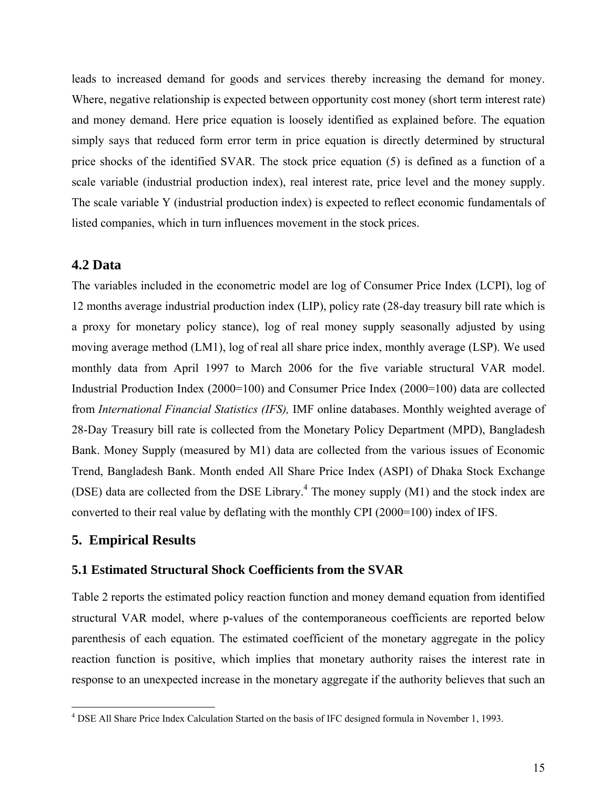leads to increased demand for goods and services thereby increasing the demand for money. Where, negative relationship is expected between opportunity cost money (short term interest rate) and money demand. Here price equation is loosely identified as explained before. The equation simply says that reduced form error term in price equation is directly determined by structural price shocks of the identified SVAR. The stock price equation (5) is defined as a function of a scale variable (industrial production index), real interest rate, price level and the money supply. The scale variable Y (industrial production index) is expected to reflect economic fundamentals of listed companies, which in turn influences movement in the stock prices.

## **4.2 Data**

The variables included in the econometric model are log of Consumer Price Index (LCPI), log of 12 months average industrial production index (LIP), policy rate (28-day treasury bill rate which is a proxy for monetary policy stance), log of real money supply seasonally adjusted by using moving average method (LM1), log of real all share price index, monthly average (LSP). We used monthly data from April 1997 to March 2006 for the five variable structural VAR model. Industrial Production Index (2000=100) and Consumer Price Index (2000=100) data are collected from *International Financial Statistics (IFS),* IMF online databases. Monthly weighted average of 28-Day Treasury bill rate is collected from the Monetary Policy Department (MPD), Bangladesh Bank. Money Supply (measured by M1) data are collected from the various issues of Economic Trend, Bangladesh Bank. Month ended All Share Price Index (ASPI) of Dhaka Stock Exchange (DSE) data are collected from the DSE Library.<sup>[4](#page-15-0)</sup> The money supply  $(M1)$  and the stock index are converted to their real value by deflating with the monthly CPI (2000=100) index of IFS.

## **5. Empirical Results**

#### **5.1 Estimated Structural Shock Coefficients from the SVAR**

Table 2 reports the estimated policy reaction function and money demand equation from identified structural VAR model, where p-values of the contemporaneous coefficients are reported below parenthesis of each equation. The estimated coefficient of the monetary aggregate in the policy reaction function is positive, which implies that monetary authority raises the interest rate in response to an unexpected increase in the monetary aggregate if the authority believes that such an

<span id="page-15-0"></span> 4 DSE All Share Price Index Calculation Started on the basis of IFC designed formula in November 1, 1993.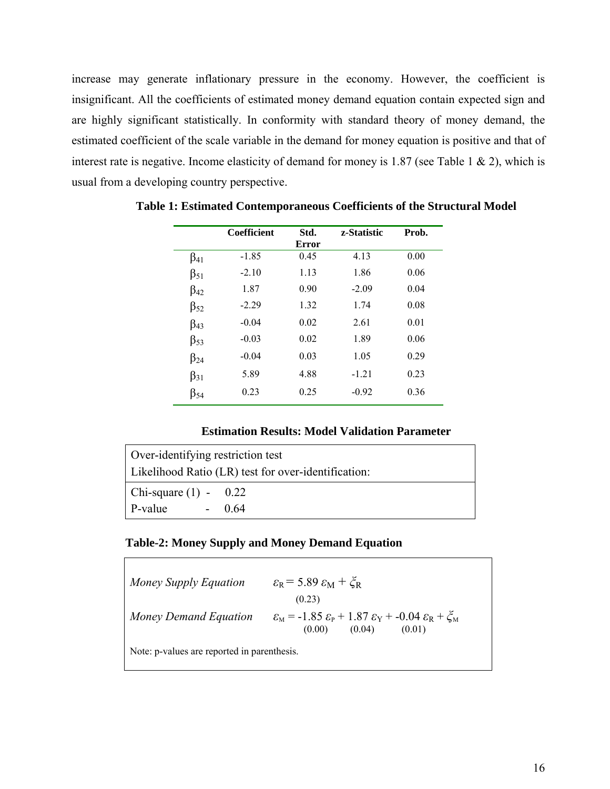increase may generate inflationary pressure in the economy. However, the coefficient is insignificant. All the coefficients of estimated money demand equation contain expected sign and are highly significant statistically. In conformity with standard theory of money demand, the estimated coefficient of the scale variable in the demand for money equation is positive and that of interest rate is negative. Income elasticity of demand for money is 1.87 (see Table 1  $\&$  2), which is usual from a developing country perspective.

|              | <b>Coefficient</b> | Std.<br>Error | z-Statistic | Prob. |
|--------------|--------------------|---------------|-------------|-------|
| $\beta_{41}$ | $-1.85$            | 0.45          | 4.13        | 0.00  |
| $\beta_{51}$ | $-2.10$            | 1.13          | 1.86        | 0.06  |
| $\beta_{42}$ | 1.87               | 0.90          | $-2.09$     | 0.04  |
| $\beta_{52}$ | $-2.29$            | 1.32          | 1.74        | 0.08  |
| $\beta_{43}$ | $-0.04$            | 0.02          | 2.61        | 0.01  |
| $\beta_{53}$ | $-0.03$            | 0.02          | 1.89        | 0.06  |
| $\beta_{24}$ | $-0.04$            | 0.03          | 1.05        | 0.29  |
| $\beta_{31}$ | 5.89               | 4.88          | $-1.21$     | 0.23  |
| β54          | 0.23               | 0.25          | $-0.92$     | 0.36  |

**Table 1: Estimated Contemporaneous Coefficients of the Structural Model** 

#### **Estimation Results: Model Validation Parameter**

| Over-identifying restriction test                   |         |  |  |  |  |
|-----------------------------------------------------|---------|--|--|--|--|
| Likelihood Ratio (LR) test for over-identification: |         |  |  |  |  |
| $\vert$ Chi-square (1) - 0.22                       |         |  |  |  |  |
| $\mathsf{P}\text{-value}$                           | $-0.64$ |  |  |  |  |

#### **Table-2: Money Supply and Money Demand Equation**

| Money Supply Equation                       | $\varepsilon_{\rm R}$ = 5.89 $\varepsilon_{\rm M}$ + $\zeta_{\rm R}$<br>(0.23)                                                                                 |  |  |  |  |  |
|---------------------------------------------|----------------------------------------------------------------------------------------------------------------------------------------------------------------|--|--|--|--|--|
| Money Demand Equation                       | $\varepsilon_{\rm M}$ = -1.85 $\varepsilon_{\rm P}$ + 1.87 $\varepsilon_{\rm Y}$ + -0.04 $\varepsilon_{\rm R}$ + $\zeta_{\rm M}$<br>(0.04)<br>(0.00)<br>(0.01) |  |  |  |  |  |
| Note: p-values are reported in parenthesis. |                                                                                                                                                                |  |  |  |  |  |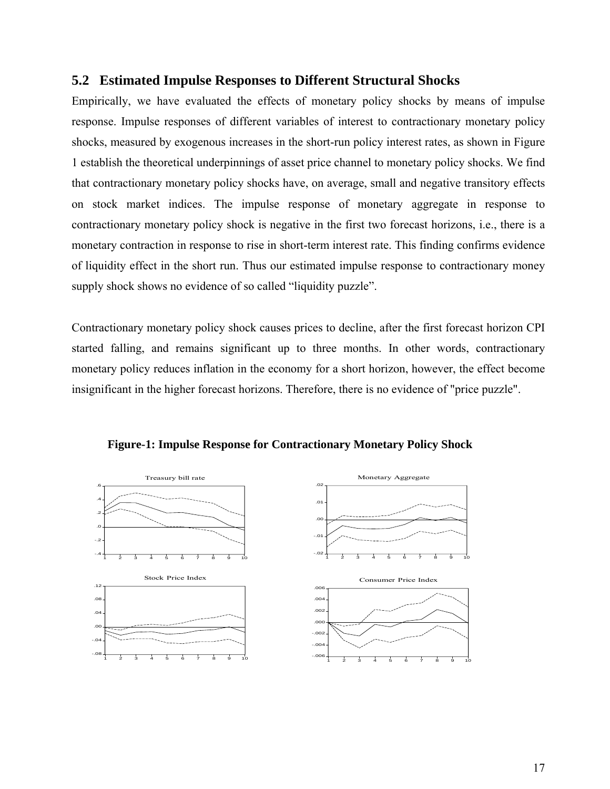## **5.2 Estimated Impulse Responses to Different Structural Shocks**

Empirically, we have evaluated the effects of monetary policy shocks by means of impulse response. Impulse responses of different variables of interest to contractionary monetary policy shocks, measured by exogenous increases in the short-run policy interest rates, as shown in Figure 1 establish the theoretical underpinnings of asset price channel to monetary policy shocks. We find that contractionary monetary policy shocks have, on average, small and negative transitory effects on stock market indices. The impulse response of monetary aggregate in response to contractionary monetary policy shock is negative in the first two forecast horizons, i.e., there is a monetary contraction in response to rise in short-term interest rate. This finding confirms evidence of liquidity effect in the short run. Thus our estimated impulse response to contractionary money supply shock shows no evidence of so called "liquidity puzzle".

Contractionary monetary policy shock causes prices to decline, after the first forecast horizon CPI started falling, and remains significant up to three months. In other words, contractionary monetary policy reduces inflation in the economy for a short horizon, however, the effect become insignificant in the higher forecast horizons. Therefore, there is no evidence of "price puzzle".



**Figure-1: Impulse Response for Contractionary Monetary Policy Shock**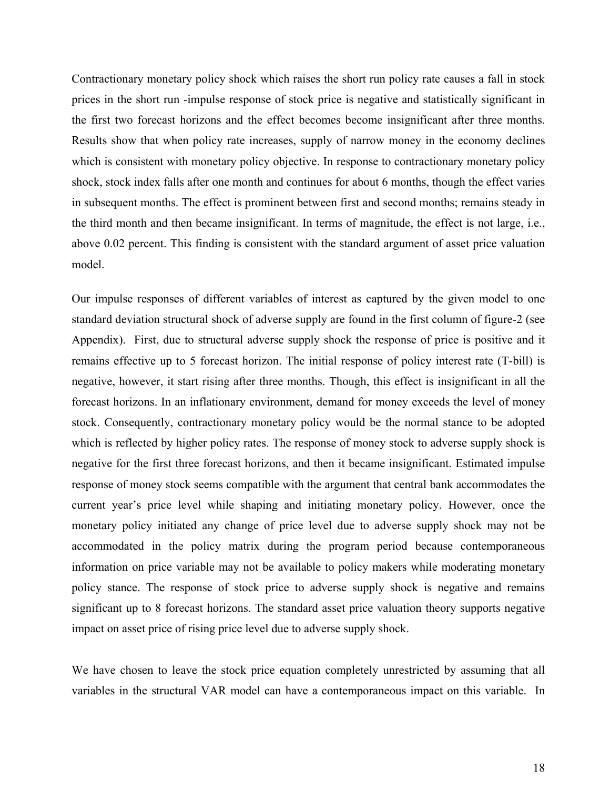Contractionary monetary policy shock which raises the short run policy rate causes a fall in stock prices in the short run -impulse response of stock price is negative and statistically significant in the first two forecast horizons and the effect becomes become insignificant after three months. Results show that when policy rate increases, supply of narrow money in the economy declines which is consistent with monetary policy objective. In response to contractionary monetary policy shock, stock index falls after one month and continues for about 6 months, though the effect varies in subsequent months. The effect is prominent between first and second months; remains steady in the third month and then became insignificant. In terms of magnitude, the effect is not large, i.e., above 0.02 percent. This finding is consistent with the standard argument of asset price valuation model.

Our impulse responses of different variables of interest as captured by the given model to one standard deviation structural shock of adverse supply are found in the first column of figure-2 (see Appendix). First, due to structural adverse supply shock the response of price is positive and it remains effective up to 5 forecast horizon. The initial response of policy interest rate (T-bill) is negative, however, it start rising after three months. Though, this effect is insignificant in all the forecast horizons. In an inflationary environment, demand for money exceeds the level of money stock. Consequently, contractionary monetary policy would be the normal stance to be adopted which is reflected by higher policy rates. The response of money stock to adverse supply shock is negative for the first three forecast horizons, and then it became insignificant. Estimated impulse response of money stock seems compatible with the argument that central bank accommodates the current year's price level while shaping and initiating monetary policy. However, once the monetary policy initiated any change of price level due to adverse supply shock may not be accommodated in the policy matrix during the program period because contemporaneous information on price variable may not be available to policy makers while moderating monetary policy stance. The response of stock price to adverse supply shock is negative and remains significant up to 8 forecast horizons. The standard asset price valuation theory supports negative impact on asset price of rising price level due to adverse supply shock.

We have chosen to leave the stock price equation completely unrestricted by assuming that all variables in the structural VAR model can have a contemporaneous impact on this variable. In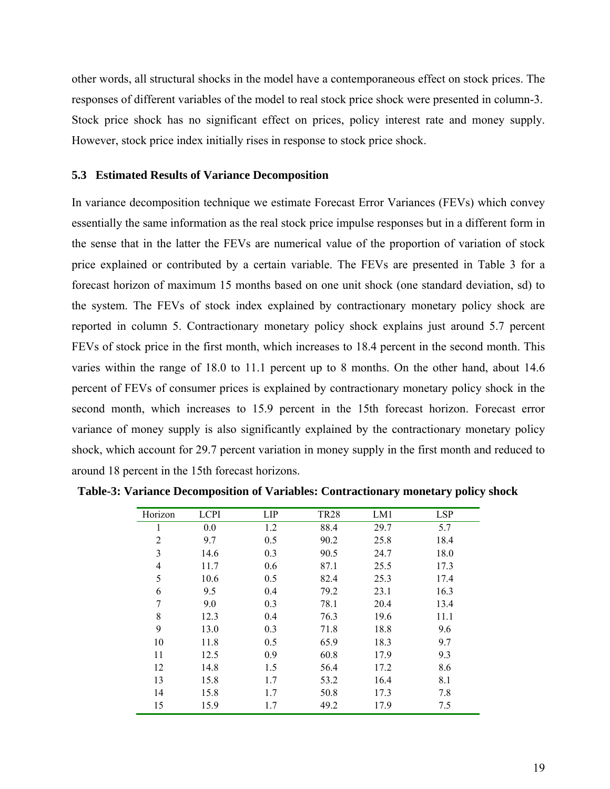other words, all structural shocks in the model have a contemporaneous effect on stock prices. The responses of different variables of the model to real stock price shock were presented in column-3. Stock price shock has no significant effect on prices, policy interest rate and money supply. However, stock price index initially rises in response to stock price shock.

#### **5.3 Estimated Results of Variance Decomposition**

In variance decomposition technique we estimate Forecast Error Variances (FEVs) which convey essentially the same information as the real stock price impulse responses but in a different form in the sense that in the latter the FEVs are numerical value of the proportion of variation of stock price explained or contributed by a certain variable. The FEVs are presented in Table 3 for a forecast horizon of maximum 15 months based on one unit shock (one standard deviation, sd) to the system. The FEVs of stock index explained by contractionary monetary policy shock are reported in column 5. Contractionary monetary policy shock explains just around 5.7 percent FEVs of stock price in the first month, which increases to 18.4 percent in the second month. This varies within the range of 18.0 to 11.1 percent up to 8 months. On the other hand, about 14.6 percent of FEVs of consumer prices is explained by contractionary monetary policy shock in the second month, which increases to 15.9 percent in the 15th forecast horizon. Forecast error variance of money supply is also significantly explained by the contractionary monetary policy shock, which account for 29.7 percent variation in money supply in the first month and reduced to around 18 percent in the 15th forecast horizons.

| Horizon | <b>LCPI</b> | LIP | <b>TR28</b> | LM1  | <b>LSP</b> |
|---------|-------------|-----|-------------|------|------------|
| 1       | 0.0         | 1.2 | 88.4        | 29.7 | 5.7        |
| 2       | 9.7         | 0.5 | 90.2        | 25.8 | 18.4       |
| 3       | 14.6        | 0.3 | 90.5        | 24.7 | 18.0       |
| 4       | 11.7        | 0.6 | 87.1        | 25.5 | 17.3       |
| 5       | 10.6        | 0.5 | 82.4        | 25.3 | 17.4       |
| 6       | 9.5         | 0.4 | 79.2        | 23.1 | 16.3       |
| 7       | 9.0         | 0.3 | 78.1        | 20.4 | 13.4       |
| 8       | 12.3        | 0.4 | 76.3        | 19.6 | 11.1       |
| 9       | 13.0        | 0.3 | 71.8        | 18.8 | 9.6        |
| 10      | 11.8        | 0.5 | 65.9        | 18.3 | 9.7        |
| 11      | 12.5        | 0.9 | 60.8        | 17.9 | 9.3        |
| 12      | 14.8        | 1.5 | 56.4        | 17.2 | 8.6        |
| 13      | 15.8        | 1.7 | 53.2        | 16.4 | 8.1        |
| 14      | 15.8        | 1.7 | 50.8        | 17.3 | 7.8        |
| 15      | 15.9        | 1.7 | 49.2        | 17.9 | 7.5        |

 **Table-3: Variance Decomposition of Variables: Contractionary monetary policy shock**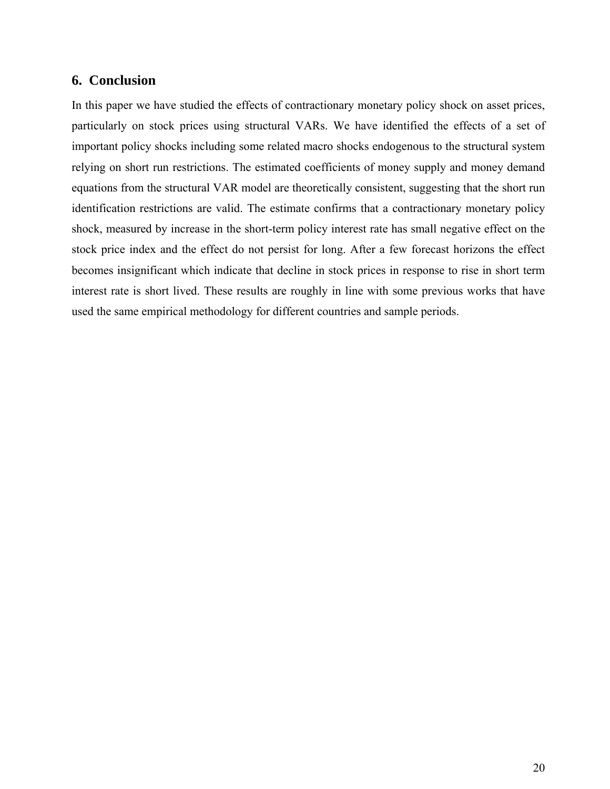### **6. Conclusion**

In this paper we have studied the effects of contractionary monetary policy shock on asset prices, particularly on stock prices using structural VARs. We have identified the effects of a set of important policy shocks including some related macro shocks endogenous to the structural system relying on short run restrictions. The estimated coefficients of money supply and money demand equations from the structural VAR model are theoretically consistent, suggesting that the short run identification restrictions are valid. The estimate confirms that a contractionary monetary policy shock, measured by increase in the short-term policy interest rate has small negative effect on the stock price index and the effect do not persist for long. After a few forecast horizons the effect becomes insignificant which indicate that decline in stock prices in response to rise in short term interest rate is short lived. These results are roughly in line with some previous works that have used the same empirical methodology for different countries and sample periods.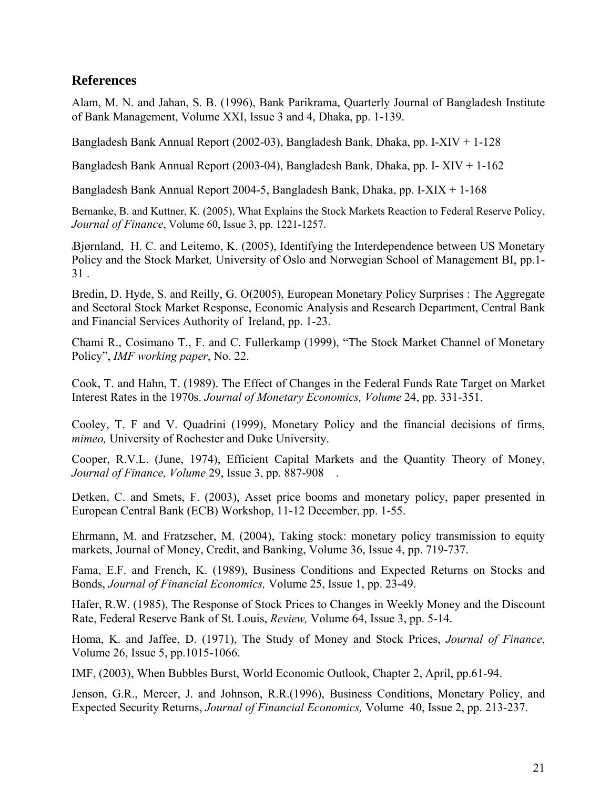# **References**

Alam, M. N. and Jahan, S. B. (1996), Bank Parikrama, Quarterly Journal of Bangladesh Institute of Bank Management, Volume XXI, Issue 3 and 4, Dhaka, pp. 1-139.

Bangladesh Bank Annual Report (2002-03), Bangladesh Bank, Dhaka, pp. I-XIV + 1-128

Bangladesh Bank Annual Report (2003-04), Bangladesh Bank, Dhaka, pp. I- XIV + 1-162

Bangladesh Bank Annual Report 2004-5, Bangladesh Bank, Dhaka, pp. I-XIX + 1-168

Bernanke, B. and Kuttner, K. (2005), What Explains the Stock Markets Reaction to Federal Reserve Policy, *Journal of Finance*, Volume 60, Issue 3, pp. 1221-1257.

**[**Bjørnland, H. C. and Leitemo, K. (2005), Identifying the Interdependence between US Monetary Policy and the Stock Market*,* University of Oslo and Norwegian School of Management BI, pp.1- 31 .

Bredin, D. Hyde, S. and Reilly, G. O(2005), European Monetary Policy Surprises : The Aggregate and Sectoral Stock Market Response, Economic Analysis and Research Department, Central Bank and Financial Services Authority of Ireland, pp. 1-23.

Chami R., Cosimano T., F. and C. Fullerkamp (1999), "The Stock Market Channel of Monetary Policy", *IMF working paper*, No. 22.

Cook, T. and Hahn, T. (1989). The Effect of Changes in the Federal Funds Rate Target on Market Interest Rates in the 1970s. *Journal of Monetary Economics, Volume* 24, pp. 331-351.

Cooley, T. F and V. Quadrini (1999), Monetary Policy and the financial decisions of firms, *mimeo,* University of Rochester and Duke University.

Cooper, R.V.L. (June, 1974), Efficient Capital Markets and the Quantity Theory of Money, *Journal of Finance, Volume* 29, Issue 3, pp. 887-908 .

Detken, C. and Smets, F. (2003), Asset price booms and monetary policy, paper presented in European Central Bank (ECB) Workshop, 11-12 December, pp. 1-55.

Ehrmann, M. and Fratzscher, M. (2004), Taking stock: monetary policy transmission to equity markets, Journal of Money, Credit, and Banking, Volume 36, Issue 4, pp. 719-737.

Fama, E.F. and French, K. (1989), Business Conditions and Expected Returns on Stocks and Bonds, *Journal of Financial Economics,* Volume 25, Issue 1, pp. 23-49.

Hafer, R.W. (1985), The Response of Stock Prices to Changes in Weekly Money and the Discount Rate, Federal Reserve Bank of St. Louis, *Review,* Volume 64, Issue 3, pp. 5-14.

Homa, K. and Jaffee, D. (1971), The Study of Money and Stock Prices, *Journal of Finance*, Volume 26, Issue 5, pp.1015-1066.

IMF, (2003), When Bubbles Burst, World Economic Outlook, Chapter 2, April, pp.61-94.

Jenson, G.R., Mercer, J. and Johnson, R.R.(1996), Business Conditions, Monetary Policy, and Expected Security Returns, *Journal of Financial Economics,* Volume 40, Issue 2, pp. 213-237.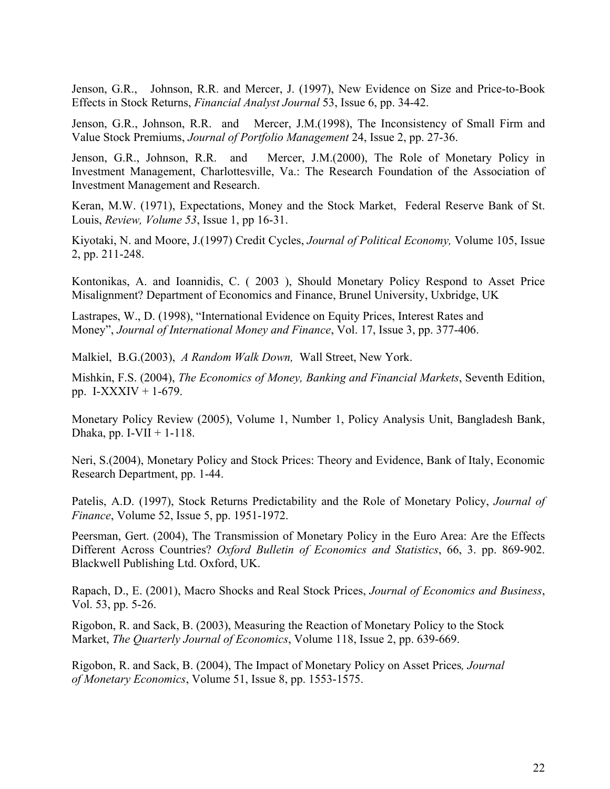Jenson, G.R., Johnson, R.R. and Mercer, J. (1997), New Evidence on Size and Price-to-Book Effects in Stock Returns, *Financial Analyst Journal* 53, Issue 6, pp. 34-42.

Jenson, G.R., Johnson, R.R. and Mercer, J.M.(1998), The Inconsistency of Small Firm and Value Stock Premiums, *Journal of Portfolio Management* 24, Issue 2, pp. 27-36.

Jenson, G.R., Johnson, R.R. and Mercer, J.M.(2000), The Role of Monetary Policy in Investment Management, Charlottesville, Va.: The Research Foundation of the Association of Investment Management and Research.

Keran, M.W. (1971), Expectations, Money and the Stock Market, Federal Reserve Bank of St. Louis, *Review, Volume 53*, Issue 1, pp 16-31.

Kiyotaki, N. and Moore, J.(1997) Credit Cycles, *Journal of Political Economy,* Volume 105, Issue 2, pp. 211-248.

Kontonikas, A. and Ioannidis, C. ( 2003 ), Should Monetary Policy Respond to Asset Price Misalignment? Department of Economics and Finance, Brunel University, Uxbridge, UK

Lastrapes, W., D. (1998), "International Evidence on Equity Prices, Interest Rates and Money", *Journal of International Money and Finance*, Vol. 17, Issue 3, pp. 377-406.

Malkiel, B.G.(2003), *A Random Walk Down,* Wall Street, New York.

Mishkin, F.S. (2004), *The Economics of Money, Banking and Financial Markets*, Seventh Edition, pp. I-XXXIV + 1-679.

Monetary Policy Review (2005), Volume 1, Number 1, Policy Analysis Unit, Bangladesh Bank, Dhaka, pp. I-VII  $+$  1-118.

Neri, S.(2004), Monetary Policy and Stock Prices: Theory and Evidence, Bank of Italy, Economic Research Department, pp. 1-44.

Patelis, A.D. (1997), Stock Returns Predictability and the Role of Monetary Policy, *Journal of Finance*, Volume 52, Issue 5, pp. 1951-1972.

Peersman, Gert. (2004), The Transmission of Monetary Policy in the Euro Area: Are the Effects Different Across Countries? *Oxford Bulletin of Economics and Statistics*, 66, 3. pp. 869-902. Blackwell Publishing Ltd. Oxford, UK.

Rapach, D., E. (2001), Macro Shocks and Real Stock Prices, *Journal of Economics and Business*, Vol. 53, pp. 5-26.

Rigobon, R. and Sack, B. (2003), Measuring the Reaction of Monetary Policy to the Stock Market, *The Quarterly Journal of Economics*, Volume 118, Issue 2, pp. 639-669.

Rigobon, R. and Sack, B. (2004), The Impact of Monetary Policy on Asset Prices*, Journal of Monetary Economics*, Volume 51, Issue 8, pp. 1553-1575.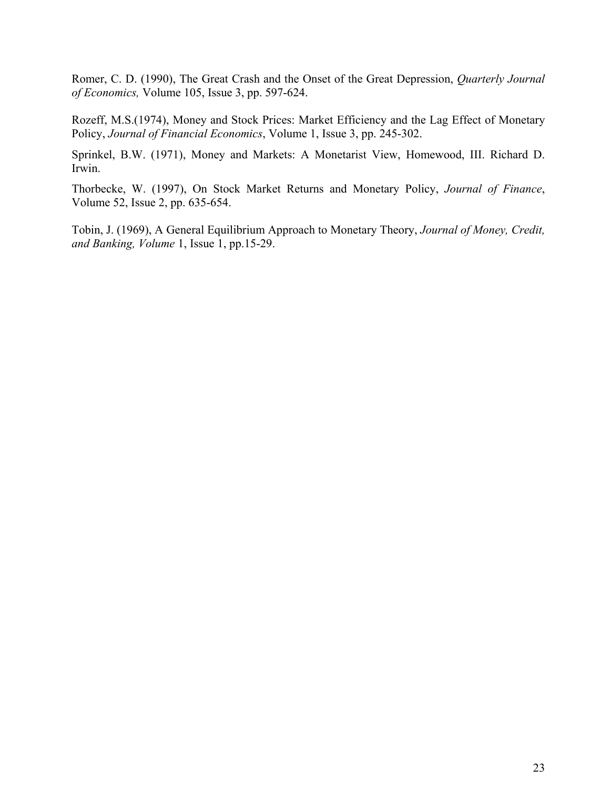Romer, C. D. (1990), The Great Crash and the Onset of the Great Depression, *Quarterly Journal of Economics,* Volume 105, Issue 3, pp. 597-624.

Rozeff, M.S.(1974), Money and Stock Prices: Market Efficiency and the Lag Effect of Monetary Policy, *Journal of Financial Economics*, Volume 1, Issue 3, pp. 245-302.

Sprinkel, B.W. (1971), Money and Markets: A Monetarist View, Homewood, III. Richard D. Irwin.

Thorbecke, W. (1997), On Stock Market Returns and Monetary Policy, *Journal of Finance*, Volume 52, Issue 2, pp. 635-654.

Tobin, J. (1969), A General Equilibrium Approach to Monetary Theory, *Journal of Money, Credit, and Banking, Volume* 1, Issue 1, pp.15-29.